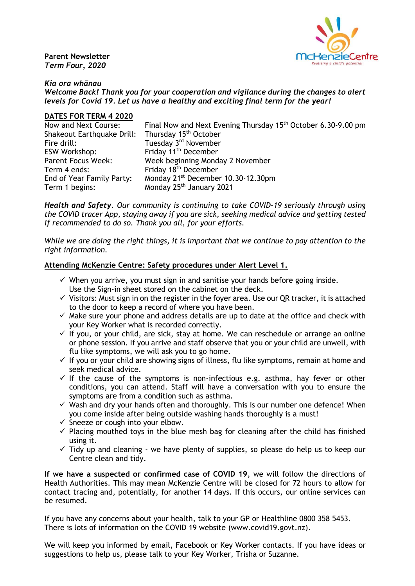**Parent Newsletter** *Term Four, 2020*



#### *Kia ora whānau*

*Welcome Back! Thank you for your cooperation and vigilance during the changes to alert levels for Covid 19. Let us have a healthy and exciting final term for the year!*

#### **DATES FOR TERM 4 2020**

Now and Next Course: Final Now and Next Evening Thursday 15<sup>th</sup> October 6.30-9.00 pm Shakeout Earthquake Drill: Thursday 15<sup>th</sup> October Fire drill: Tuesday 3<sup>rd</sup> November<br>
ESW Workshop: Friday 11<sup>th</sup> December Friday  $11<sup>th</sup>$  December Parent Focus Week: Week beginning Monday 2 November Term 4 ends: Friday 18<sup>th</sup> December End of Year Family Party: Monday 21<sup>st</sup> December 10.30-12.30pm Term 1 begins: Monday 25<sup>th</sup> January 2021

*Health and Safety. Our community is continuing to take COVID-19 seriously through using the COVID tracer App, staying away if you are sick, seeking medical advice and getting tested if recommended to do so. Thank you all, for your efforts.*

*While we are doing the right things, it is important that we continue to pay attention to the right information.* 

### **Attending McKenzie Centre: Safety procedures under Alert Level 1.**

- $\checkmark$  When you arrive, you must sign in and sanitise your hands before going inside. Use the Sign-in sheet stored on the cabinet on the deck.
- $\checkmark$  Visitors: Must sign in on the register in the foyer area. Use our QR tracker, it is attached to the door to keep a record of where you have been.
- $\checkmark$  Make sure your phone and address details are up to date at the office and check with your Key Worker what is recorded correctly.
- $\checkmark$  If you, or your child, are sick, stay at home. We can reschedule or arrange an online or phone session. If you arrive and staff observe that you or your child are unwell, with flu like symptoms, we will ask you to go home.
- $\checkmark$  If you or your child are showing signs of illness, flu like symptoms, remain at home and seek medical advice.
- $\checkmark$  If the cause of the symptoms is non-infectious e.g. asthma, hay fever or other conditions, you can attend. Staff will have a conversation with you to ensure the symptoms are from a condition such as asthma.
- $\checkmark$  Wash and dry your hands often and thoroughly. This is our number one defence! When you come inside after being outside washing hands thoroughly is a must!
- $\checkmark$  Sneeze or cough into your elbow.
- $\checkmark$  Placing mouthed toys in the blue mesh bag for cleaning after the child has finished using it.
- $\checkmark$  Tidy up and cleaning we have plenty of supplies, so please do help us to keep our Centre clean and tidy.

**If we have a suspected or confirmed case of COVID 19**, we will follow the directions of Health Authorities. This may mean McKenzie Centre will be closed for 72 hours to allow for contact tracing and, potentially, for another 14 days. If this occurs, our online services can be resumed.

If you have any concerns about your health, talk to your GP or Healthline 0800 358 5453. There is lots of information on the COVID 19 website (www.covid19.govt.nz).

We will keep you informed by email, Facebook or Key Worker contacts. If you have ideas or suggestions to help us, please talk to your Key Worker, Trisha or Suzanne.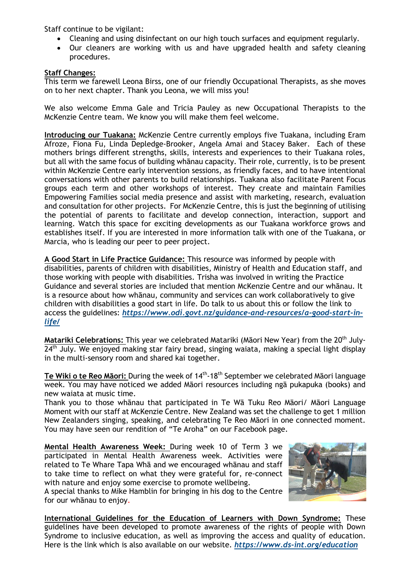Staff continue to be vigilant:

- Cleaning and using disinfectant on our high touch surfaces and equipment regularly.
- Our cleaners are working with us and have upgraded health and safety cleaning procedures.

# **Staff Changes:**

This term we farewell Leona Birss, one of our friendly Occupational Therapists, as she moves on to her next chapter. Thank you Leona, we will miss you!

We also welcome Emma Gale and Tricia Pauley as new Occupational Therapists to the McKenzie Centre team. We know you will make them feel welcome.

**Introducing our Tuakana:** McKenzie Centre currently employs five Tuakana, including Eram Afroze, Fiona Fu, Linda Depledge-Brooker, Angela Amai and Stacey Baker. Each of these mothers brings different strengths, skills, interests and experiences to their Tuakana roles, but all with the same focus of building whānau capacity. Their role, currently, is to be present within McKenzie Centre early intervention sessions, as friendly faces, and to have intentional conversations with other parents to build relationships. Tuakana also facilitate Parent Focus groups each term and other workshops of interest. They create and maintain Families Empowering Families social media presence and assist with marketing, research, evaluation and consultation for other projects. For McKenzie Centre, this is just the beginning of utilising the potential of parents to facilitate and develop connection, interaction, support and learning. Watch this space for exciting developments as our Tuakana workforce grows and establishes itself. If you are interested in more information talk with one of the Tuakana, or Marcia, who is leading our peer to peer project.

**A Good Start in Life Practice Guidance:** This resource was informed by people with disabilities, parents of children with disabilities, Ministry of Health and Education staff, and those working with people with disabilities. Trisha was involved in writing the Practice Guidance and several stories are included that mention McKenzie Centre and our whānau. It is a resource about how whānau, community and services can work collaboratively to give children with disabilities a good start in life. Do talk to us about this or follow the link to access the guidelines: *[https://www.odi.govt.nz/guidance-and-resources/a-good-start-in](https://www.odi.govt.nz/guidance-and-resources/a-good-start-in-life/)[life/](https://www.odi.govt.nz/guidance-and-resources/a-good-start-in-life/)*

**Matariki Celebrations:** This year we celebrated Matariki (Māori New Year) from the 20th July- $24<sup>th</sup>$  July. We enjoved making star fairy bread, singing waiata, making a special light display in the multi-sensory room and shared kai together.

**Te Wiki o te Reo Māori:** During the week of 14th -18th September we celebrated Māori language week. You may have noticed we added Māori resources including ngā pukapuka (books) and new waiata at music time.

Thank you to those whānau that participated in Te Wā Tuku Reo Māori/ Māori Language Moment with our staff at McKenzie Centre. New Zealand was set the challenge to get 1 million New Zealanders singing, speaking, and celebrating Te Reo Māori in one connected moment. You may have seen our rendition of "Te Aroha" on our Facebook page.

**Mental Health Awareness Week:** During week 10 of Term 3 we participated in Mental Health Awareness week. Activities were related to Te Whare Tapa Whā and we encouraged whānau and staff to take time to reflect on what they were grateful for, re-connect with nature and enjoy some exercise to promote wellbeing.

A special thanks to Mike Hamblin for bringing in his dog to the Centre for our whānau to enjoy.



**International Guidelines for the Education of Learners with Down Syndrome:** These guidelines have been developed to promote awareness of the rights of people with Down Syndrome to inclusive education, as well as improving the access and quality of education. Here is the link which is also available on our website. *<https://www.ds-int.org/education>*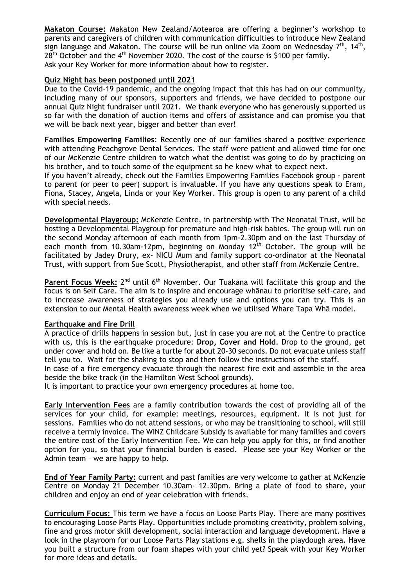**Makaton Course:** Makaton New Zealand/Aotearoa are offering a beginner's workshop to parents and caregivers of children with communication difficulties to introduce New Zealand sign language and Makaton. The course will be run online via Zoom on Wednesday  $7^{\text{th}}$ , 14 $^{\text{th}}$ ,  $28<sup>th</sup>$  October and the 4<sup>th</sup> November 2020. The cost of the course is \$100 per family. Ask your Key Worker for more information about how to register.

### **Quiz Night has been postponed until 2021**

Due to the Covid-19 pandemic, and the ongoing impact that this has had on our community, including many of our sponsors, supporters and friends, we have decided to postpone our annual Quiz Night fundraiser until 2021. We thank everyone who has generously supported us so far with the donation of auction items and offers of assistance and can promise you that we will be back next year, bigger and better than ever!

**Families Empowering Families**: Recently one of our families shared a positive experience with attending Peachgrove Dental Services. The staff were patient and allowed time for one of our McKenzie Centre children to watch what the dentist was going to do by practicing on his brother, and to touch some of the equipment so he knew what to expect next.

If you haven't already, check out the Families Empowering Families Facebook group - parent to parent (or peer to peer) support is invaluable. If you have any questions speak to Eram, Fiona, Stacey, Angela, Linda or your Key Worker. This group is open to any parent of a child with special needs.

**Developmental Playgroup:** McKenzie Centre, in partnership with The Neonatal Trust, will be hosting a Developmental Playgroup for premature and high-risk babies. The group will run on the second Monday afternoon of each month from 1pm-2.30pm and on the last Thursday of each month from 10.30am-12pm, beginning on Monday  $12<sup>th</sup>$  October. The group will be facilitated by Jadey Drury, ex- NICU Mum and family support co-ordinator at the Neonatal Trust, with support from Sue Scott, Physiotherapist, and other staff from McKenzie Centre.

Parent Focus Week: 2<sup>nd</sup> until 6<sup>th</sup> November. Our Tuakana will facilitate this group and the focus is on Self Care. The aim is to inspire and encourage whānau to prioritise self-care, and to increase awareness of strategies you already use and options you can try. This is an extension to our Mental Health awareness week when we utilised Whare Tapa Whā model.

### **Earthquake and Fire Drill**

A practice of drills happens in session but, just in case you are not at the Centre to practice with us, this is the earthquake procedure: **Drop, Cover and Hold**. Drop to the ground, get under cover and hold on. Be like a turtle for about 20-30 seconds. Do not evacuate unless staff tell you to. Wait for the shaking to stop and then follow the instructions of the staff.

In case of a fire emergency evacuate through the nearest fire exit and assemble in the area beside the bike track (in the Hamilton West School grounds).

It is important to practice your own emergency procedures at home too.

**Early Intervention Fees** are a family contribution towards the cost of providing all of the services for your child, for example: meetings, resources, equipment. It is not just for sessions. Families who do not attend sessions, or who may be transitioning to school, will still receive a termly invoice. The WINZ Childcare Subsidy is available for many families and covers the entire cost of the Early Intervention Fee. We can help you apply for this, or find another option for you, so that your financial burden is eased. Please see your Key Worker or the Admin team – we are happy to help.

**End of Year Family Party:** current and past families are very welcome to gather at McKenzie Centre on Monday 21 December 10.30am- 12.30pm. Bring a plate of food to share, your children and enjoy an end of year celebration with friends.

**Curriculum Focus:** This term we have a focus on Loose Parts Play. There are many positives to encouraging Loose Parts Play. Opportunities include promoting creativity, problem solving, fine and gross motor skill development, social interaction and language development. Have a look in the playroom for our Loose Parts Play stations e.g. shells in the playdough area. Have you built a structure from our foam shapes with your child yet? Speak with your Key Worker for more ideas and details.